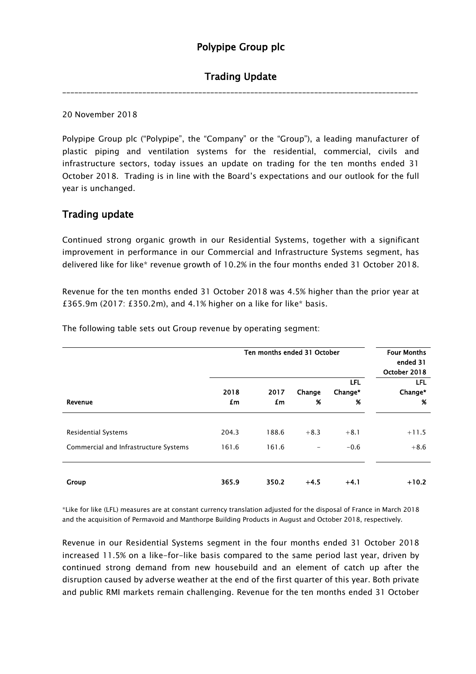# Polypipe Group plc

## Trading Update

\_\_\_\_\_\_\_\_\_\_\_\_\_\_\_\_\_\_\_\_\_\_\_\_\_\_\_\_\_\_\_\_\_\_\_\_\_\_\_\_\_\_\_\_\_\_\_\_\_\_\_\_\_\_\_\_\_\_\_\_\_\_\_\_\_\_\_\_\_\_\_\_\_\_\_\_\_\_\_\_\_\_\_\_\_\_\_\_\_

20 November 2018

Polypipe Group plc ("Polypipe", the "Company" or the "Group"), a leading manufacturer of plastic piping and ventilation systems for the residential, commercial, civils and infrastructure sectors, today issues an update on trading for the ten months ended 31 October 2018. Trading is in line with the Board's expectations and our outlook for the full year is unchanged.

### Trading update

Continued strong organic growth in our Residential Systems, together with a significant improvement in performance in our Commercial and Infrastructure Systems segment, has delivered like for like\* revenue growth of 10.2% in the four months ended 31 October 2018.

Revenue for the ten months ended 31 October 2018 was 4.5% higher than the prior year at £365.9m (2017: £350.2m), and 4.1% higher on a like for like\* basis.

|                                                                     | Ten months ended 31 October |                |             |                            | <b>Four Months</b><br>ended 31<br>October 2018 |
|---------------------------------------------------------------------|-----------------------------|----------------|-------------|----------------------------|------------------------------------------------|
| Revenue                                                             | 2018<br>£m                  | 2017<br>£m     | Change<br>% | <b>LFL</b><br>Change*<br>% | <b>LFL</b><br>Change*<br>%                     |
| <b>Residential Systems</b><br>Commercial and Infrastructure Systems | 204.3<br>161.6              | 188.6<br>161.6 | $+8.3$      | $+8.1$<br>$-0.6$           | $+11.5$<br>$+8.6$                              |
| <b>Group</b>                                                        | 365.9                       | 350.2          | $+4.5$      | $+4.1$                     | $+10.2$                                        |

The following table sets out Group revenue by operating segment:

\*Like for like (LFL) measures are at constant currency translation adjusted for the disposal of France in March 2018 and the acquisition of Permavoid and Manthorpe Building Products in August and October 2018, respectively.

Revenue in our Residential Systems segment in the four months ended 31 October 2018 increased 11.5% on a like-for-like basis compared to the same period last year, driven by continued strong demand from new housebuild and an element of catch up after the disruption caused by adverse weather at the end of the first quarter of this year. Both private and public RMI markets remain challenging. Revenue for the ten months ended 31 October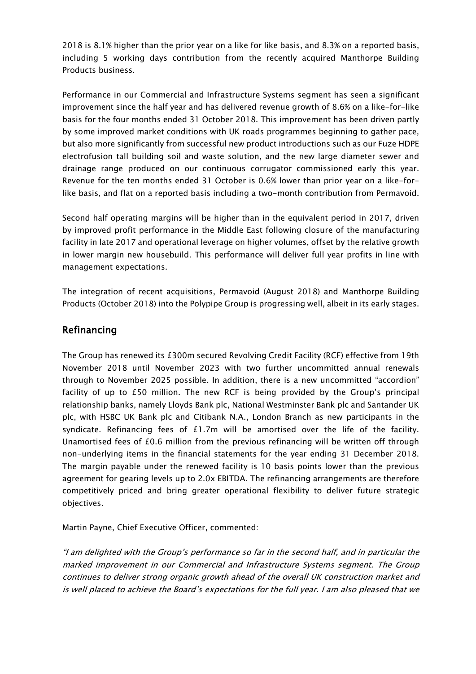2018 is 8.1% higher than the prior year on a like for like basis, and 8.3% on a reported basis, including 5 working days contribution from the recently acquired Manthorpe Building Products business.

Performance in our Commercial and Infrastructure Systems segment has seen a significant improvement since the half year and has delivered revenue growth of 8.6% on a like-for-like basis for the four months ended 31 October 2018. This improvement has been driven partly by some improved market conditions with UK roads programmes beginning to gather pace, but also more significantly from successful new product introductions such as our Fuze HDPE electrofusion tall building soil and waste solution, and the new large diameter sewer and drainage range produced on our continuous corrugator commissioned early this year. Revenue for the ten months ended 31 October is 0.6% lower than prior year on a like-forlike basis, and flat on a reported basis including a two-month contribution from Permavoid.

Second half operating margins will be higher than in the equivalent period in 2017, driven by improved profit performance in the Middle East following closure of the manufacturing facility in late 2017 and operational leverage on higher volumes, offset by the relative growth in lower margin new housebuild. This performance will deliver full year profits in line with management expectations.

The integration of recent acquisitions, Permavoid (August 2018) and Manthorpe Building Products (October 2018) into the Polypipe Group is progressing well, albeit in its early stages.

### Refinancing

The Group has renewed its £300m secured Revolving Credit Facility (RCF) effective from 19th November 2018 until November 2023 with two further uncommitted annual renewals through to November 2025 possible. In addition, there is a new uncommitted "accordion" facility of up to £50 million. The new RCF is being provided by the Group's principal relationship banks, namely Lloyds Bank plc, National Westminster Bank plc and Santander UK plc, with HSBC UK Bank plc and Citibank N.A., London Branch as new participants in the syndicate. Refinancing fees of £1.7m will be amortised over the life of the facility. Unamortised fees of £0.6 million from the previous refinancing will be written off through non-underlying items in the financial statements for the year ending 31 December 2018. The margin payable under the renewed facility is 10 basis points lower than the previous agreement for gearing levels up to 2.0x EBITDA. The refinancing arrangements are therefore competitively priced and bring greater operational flexibility to deliver future strategic objectives.

Martin Payne, Chief Executive Officer, commented:

"I am delighted with the Group's performance so far in the second half, and in particular the marked improvement in our Commercial and Infrastructure Systems segment. The Group continues to deliver strong organic growth ahead of the overall UK construction market and is well placed to achieve the Board's expectations for the full year. I am also pleased that we